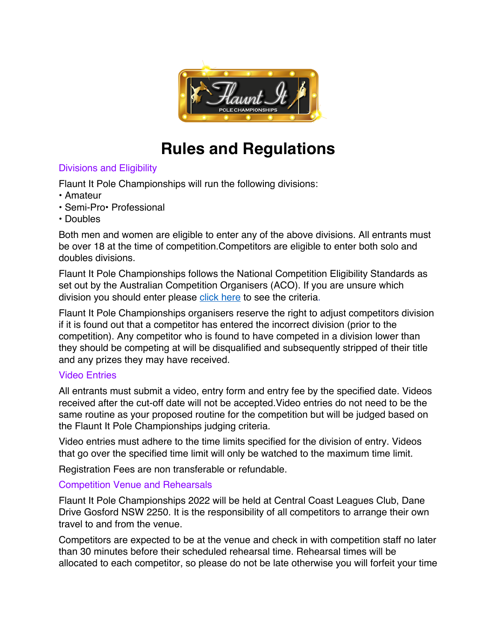

# **Rules and Regulations**

## Divisions and Eligibility

Flaunt It Pole Championships will run the following divisions:

- Amateur
- Semi-Pro• Professional
- Doubles

Both men and women are eligible to enter any of the above divisions. All entrants must be over 18 at the time of competition.Competitors are eligible to enter both solo and doubles divisions.

Flaunt It Pole Championships follows the National Competition Eligibility Standards as set out by the Australian Competition Organisers (ACO). If you are unsure which division you should enter please click here to see the criteria.

Flaunt It Pole Championships organisers reserve the right to adjust competitors division if it is found out that a competitor has entered the incorrect division (prior to the competition). Any competitor who is found to have competed in a division lower than they should be competing at will be disqualified and subsequently stripped of their title and any prizes they may have received.

## Video Entries

All entrants must submit a video, entry form and entry fee by the specified date. Videos received after the cut-off date will not be accepted.Video entries do not need to be the same routine as your proposed routine for the competition but will be judged based on the Flaunt It Pole Championships judging criteria.

Video entries must adhere to the time limits specified for the division of entry. Videos that go over the specified time limit will only be watched to the maximum time limit.

Registration Fees are non transferable or refundable.

# Competition Venue and Rehearsals

Flaunt It Pole Championships 2022 will be held at Central Coast Leagues Club, Dane Drive Gosford NSW 2250. It is the responsibility of all competitors to arrange their own travel to and from the venue.

Competitors are expected to be at the venue and check in with competition staff no later than 30 minutes before their scheduled rehearsal time. Rehearsal times will be allocated to each competitor, so please do not be late otherwise you will forfeit your time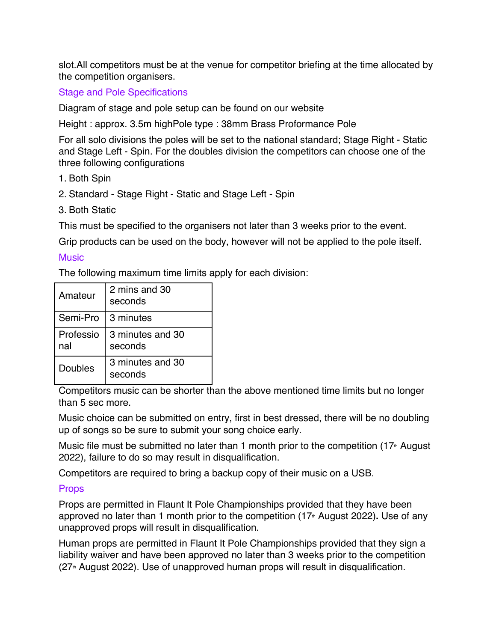slot.All competitors must be at the venue for competitor briefing at the time allocated by the competition organisers.

Stage and Pole Specifications

Diagram of stage and pole setup can be found on our website

Height : approx. 3.5m highPole type : 38mm Brass Proformance Pole

For all solo divisions the poles will be set to the national standard; Stage Right - Static and Stage Left - Spin. For the doubles division the competitors can choose one of the three following configurations

- 1. Both Spin
- 2. Standard Stage Right Static and Stage Left Spin
- 3. Both Static

This must be specified to the organisers not later than 3 weeks prior to the event.

Grip products can be used on the body, however will not be applied to the pole itself.

#### **Music**

The following maximum time limits apply for each division:

| Amateur          | 2 mins and 30<br>seconds    |
|------------------|-----------------------------|
| Semi-Pro         | 3 minutes                   |
| Professio<br>nal | 3 minutes and 30<br>seconds |
| Doubles          | 3 minutes and 30<br>seconds |

Competitors music can be shorter than the above mentioned time limits but no longer than 5 sec more.

Music choice can be submitted on entry, first in best dressed, there will be no doubling up of songs so be sure to submit your song choice early.

Music file must be submitted no later than 1 month prior to the competition  $(17<sup>th</sup>$  August 2022), failure to do so may result in disqualification.

Competitors are required to bring a backup copy of their music on a USB.

#### **Props**

Props are permitted in Flaunt It Pole Championships provided that they have been approved no later than 1 month prior to the competition (17<sup>th</sup> August 2022). Use of any unapproved props will result in disqualification.

Human props are permitted in Flaunt It Pole Championships provided that they sign a liability waiver and have been approved no later than 3 weeks prior to the competition  $(27<sup>th</sup>$  August 2022). Use of unapproved human props will result in disqualification.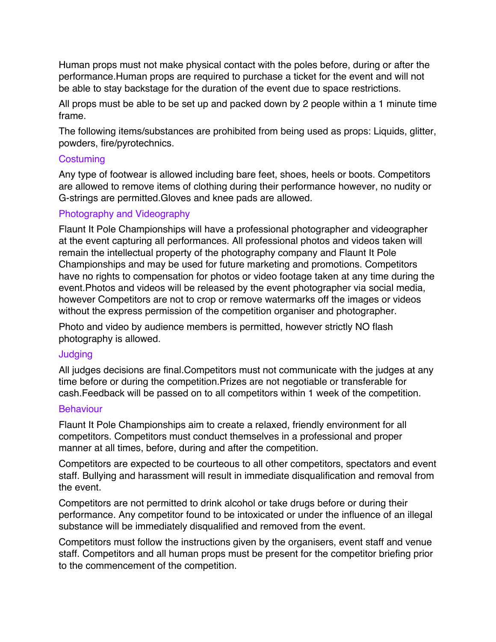Human props must not make physical contact with the poles before, during or after the performance.Human props are required to purchase a ticket for the event and will not be able to stay backstage for the duration of the event due to space restrictions.

All props must be able to be set up and packed down by 2 people within a 1 minute time frame.

The following items/substances are prohibited from being used as props: Liquids, glitter, powders, fire/pyrotechnics.

#### **Costuming**

Any type of footwear is allowed including bare feet, shoes, heels or boots. Competitors are allowed to remove items of clothing during their performance however, no nudity or G-strings are permitted.Gloves and knee pads are allowed.

#### Photography and Videography

Flaunt It Pole Championships will have a professional photographer and videographer at the event capturing all performances. All professional photos and videos taken will remain the intellectual property of the photography company and Flaunt It Pole Championships and may be used for future marketing and promotions. Competitors have no rights to compensation for photos or video footage taken at any time during the event.Photos and videos will be released by the event photographer via social media, however Competitors are not to crop or remove watermarks off the images or videos without the express permission of the competition organiser and photographer.

Photo and video by audience members is permitted, however strictly NO flash photography is allowed.

#### **Judging**

All judges decisions are final.Competitors must not communicate with the judges at any time before or during the competition.Prizes are not negotiable or transferable for cash.Feedback will be passed on to all competitors within 1 week of the competition.

#### **Behaviour**

Flaunt It Pole Championships aim to create a relaxed, friendly environment for all competitors. Competitors must conduct themselves in a professional and proper manner at all times, before, during and after the competition.

Competitors are expected to be courteous to all other competitors, spectators and event staff. Bullying and harassment will result in immediate disqualification and removal from the event.

Competitors are not permitted to drink alcohol or take drugs before or during their performance. Any competitor found to be intoxicated or under the influence of an illegal substance will be immediately disqualified and removed from the event.

Competitors must follow the instructions given by the organisers, event staff and venue staff. Competitors and all human props must be present for the competitor briefing prior to the commencement of the competition.